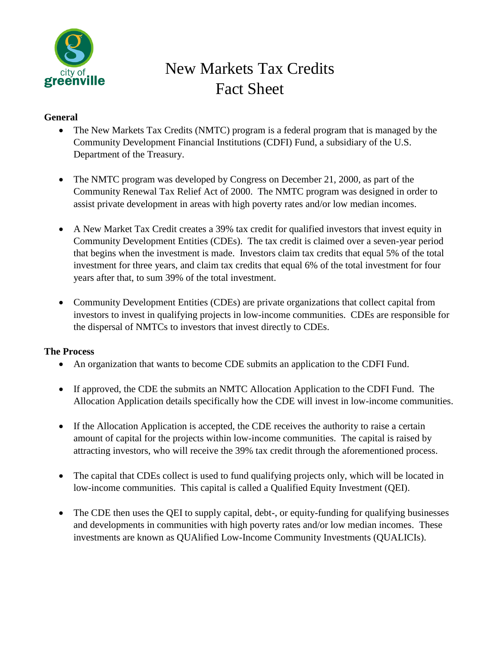

# New Markets Tax Credits Fact Sheet

## **General**

- The New Markets Tax Credits (NMTC) program is a federal program that is managed by the Community Development Financial Institutions (CDFI) Fund, a subsidiary of the U.S. Department of the Treasury.
- The NMTC program was developed by Congress on December 21, 2000, as part of the Community Renewal Tax Relief Act of 2000. The NMTC program was designed in order to assist private development in areas with high poverty rates and/or low median incomes.
- A New Market Tax Credit creates a 39% tax credit for qualified investors that invest equity in Community Development Entities (CDEs). The tax credit is claimed over a seven-year period that begins when the investment is made. Investors claim tax credits that equal 5% of the total investment for three years, and claim tax credits that equal 6% of the total investment for four years after that, to sum 39% of the total investment.
- Community Development Entities (CDEs) are private organizations that collect capital from investors to invest in qualifying projects in low-income communities. CDEs are responsible for the dispersal of NMTCs to investors that invest directly to CDEs.

#### **The Process**

- An organization that wants to become CDE submits an application to the CDFI Fund.
- If approved, the CDE the submits an NMTC Allocation Application to the CDFI Fund. The Allocation Application details specifically how the CDE will invest in low-income communities.
- If the Allocation Application is accepted, the CDE receives the authority to raise a certain amount of capital for the projects within low-income communities. The capital is raised by attracting investors, who will receive the 39% tax credit through the aforementioned process.
- The capital that CDEs collect is used to fund qualifying projects only, which will be located in low-income communities. This capital is called a Qualified Equity Investment (QEI).
- The CDE then uses the QEI to supply capital, debt-, or equity-funding for qualifying businesses and developments in communities with high poverty rates and/or low median incomes. These investments are known as QUAlified Low-Income Community Investments (QUALICIs).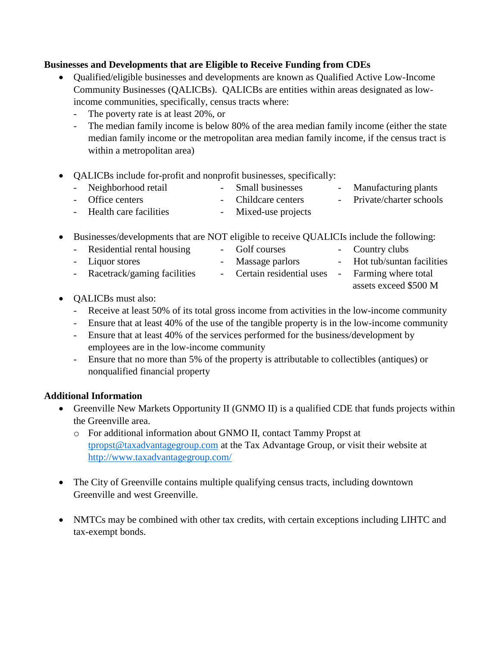### **Businesses and Developments that are Eligible to Receive Funding from CDEs**

- Qualified/eligible businesses and developments are known as Qualified Active Low-Income Community Businesses (QALICBs). QALICBs are entities within areas designated as lowincome communities, specifically, census tracts where:
	- The poverty rate is at least 20%, or
	- The median family income is below 80% of the area median family income (either the state median family income or the metropolitan area median family income, if the census tract is within a metropolitan area)
- QALICBs include for-profit and nonprofit businesses, specifically:
	- Neighborhood retail Small businesses Manufacturing plants - Office centers - Childcare centers - Private/charter schools Health care facilities - Mixed-use projects
	-
- Businesses/developments that are NOT eligible to receive QUALICIs include the following:
	- Residential rental housing Golf courses Country clubs - Liquor stores - Massage parlors - Hot tub/suntan facilities - Racetrack/gaming facilities - Certain residential uses - Farming where total
- OALICBs must also:
	- Receive at least 50% of its total gross income from activities in the low-income community

assets exceed \$500 M

- Ensure that at least 40% of the use of the tangible property is in the low-income community
- Ensure that at least 40% of the services performed for the business/development by employees are in the low-income community
- Ensure that no more than 5% of the property is attributable to collectibles (antiques) or nonqualified financial property

#### **Additional Information**

- Greenville New Markets Opportunity II (GNMO II) is a qualified CDE that funds projects within the Greenville area.
	- o For additional information about GNMO II, contact Tammy Propst at [tpropst@taxadvantagegroup.com](mailto:tpropst@taxadvantagegroup.com) at the Tax Advantage Group, or visit their website at <http://www.taxadvantagegroup.com/>
- The City of Greenville contains multiple qualifying census tracts, including downtown Greenville and west Greenville.
- NMTCs may be combined with other tax credits, with certain exceptions including LIHTC and tax-exempt bonds.